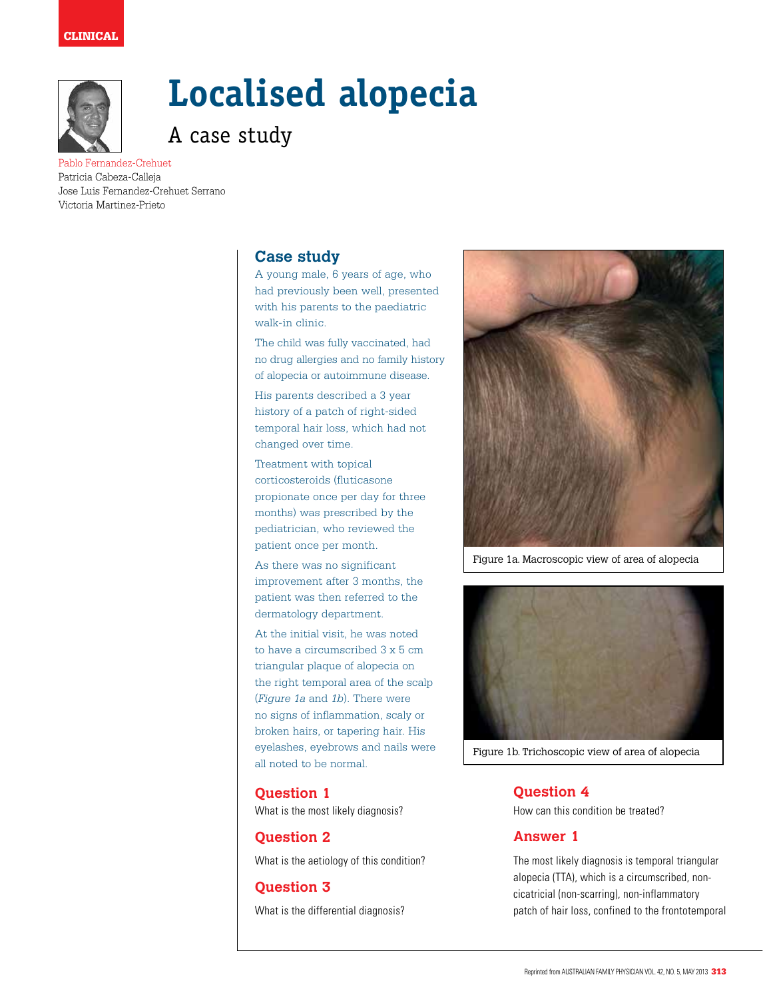

# **Localised alopecia**

A case study

Pablo Fernandez-Crehuet Patricia Cabeza-Calleja Jose Luis Fernandez-Crehuet Serrano Victoria Martinez-Prieto

# **Case study**

A young male, 6 years of age, who had previously been well, presented with his parents to the paediatric walk-in clinic.

The child was fully vaccinated, had no drug allergies and no family history of alopecia or autoimmune disease.

His parents described a 3 year history of a patch of right-sided temporal hair loss, which had not changed over time.

Treatment with topical corticosteroids (fluticasone propionate once per day for three months) was prescribed by the pediatrician, who reviewed the patient once per month.

As there was no significant improvement after 3 months, the patient was then referred to the dermatology department.

At the initial visit, he was noted to have a circumscribed 3 x 5 cm triangular plaque of alopecia on the right temporal area of the scalp (*Figure 1a* and *1b*). There were no signs of inflammation, scaly or broken hairs, or tapering hair. His eyelashes, eyebrows and nails were all noted to be normal.

## **Question 1**

What is the most likely diagnosis?

# **Question 2**

What is the aetiology of this condition?

## **Question 3**

What is the differential diagnosis?



Figure 1a. Macroscopic view of area of alopecia



Figure 1b. Trichoscopic view of area of alopecia

## **Question 4**

How can this condition be treated?

## **Answer 1**

The most likely diagnosis is temporal triangular alopecia (TTA), which is a circumscribed, noncicatricial (non-scarring), non-inflammatory patch of hair loss, confined to the frontotemporal